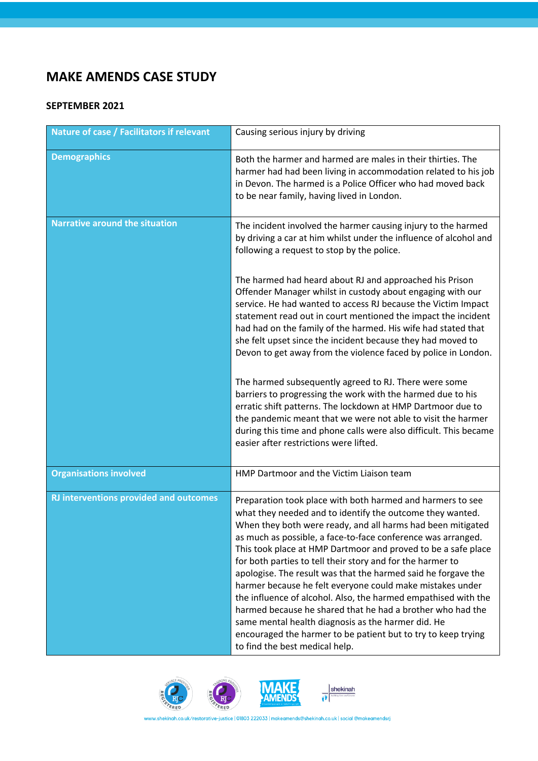## **MAKE AMENDS CASE STUDY**

## **SEPTEMBER 2021**

| <b>Nature of case / Facilitators if relevant</b> | Causing serious injury by driving                                                                                                                                                                                                                                                                                                                                                                                                                                                                                                                                                                                                                                                                                                                                                                            |
|--------------------------------------------------|--------------------------------------------------------------------------------------------------------------------------------------------------------------------------------------------------------------------------------------------------------------------------------------------------------------------------------------------------------------------------------------------------------------------------------------------------------------------------------------------------------------------------------------------------------------------------------------------------------------------------------------------------------------------------------------------------------------------------------------------------------------------------------------------------------------|
| <b>Demographics</b>                              | Both the harmer and harmed are males in their thirties. The<br>harmer had had been living in accommodation related to his job<br>in Devon. The harmed is a Police Officer who had moved back<br>to be near family, having lived in London.                                                                                                                                                                                                                                                                                                                                                                                                                                                                                                                                                                   |
| <b>Narrative around the situation</b>            | The incident involved the harmer causing injury to the harmed<br>by driving a car at him whilst under the influence of alcohol and<br>following a request to stop by the police.                                                                                                                                                                                                                                                                                                                                                                                                                                                                                                                                                                                                                             |
|                                                  | The harmed had heard about RJ and approached his Prison<br>Offender Manager whilst in custody about engaging with our<br>service. He had wanted to access RJ because the Victim Impact<br>statement read out in court mentioned the impact the incident<br>had had on the family of the harmed. His wife had stated that<br>she felt upset since the incident because they had moved to<br>Devon to get away from the violence faced by police in London.                                                                                                                                                                                                                                                                                                                                                    |
|                                                  | The harmed subsequently agreed to RJ. There were some<br>barriers to progressing the work with the harmed due to his<br>erratic shift patterns. The lockdown at HMP Dartmoor due to<br>the pandemic meant that we were not able to visit the harmer<br>during this time and phone calls were also difficult. This became<br>easier after restrictions were lifted.                                                                                                                                                                                                                                                                                                                                                                                                                                           |
| <b>Organisations involved</b>                    | HMP Dartmoor and the Victim Liaison team                                                                                                                                                                                                                                                                                                                                                                                                                                                                                                                                                                                                                                                                                                                                                                     |
| <b>RJ interventions provided and outcomes</b>    | Preparation took place with both harmed and harmers to see<br>what they needed and to identify the outcome they wanted.<br>When they both were ready, and all harms had been mitigated<br>as much as possible, a face-to-face conference was arranged.<br>This took place at HMP Dartmoor and proved to be a safe place<br>for both parties to tell their story and for the harmer to<br>apologise. The result was that the harmed said he forgave the<br>harmer because he felt everyone could make mistakes under<br>the influence of alcohol. Also, the harmed empathised with the<br>harmed because he shared that he had a brother who had the<br>same mental health diagnosis as the harmer did. He<br>encouraged the harmer to be patient but to try to keep trying<br>to find the best medical help. |





 $\overline{\text{shekinah}}$ 

n.co.uk/restorative-justice | 01803 222033 | makeamends@shekinah.co.uk | social @makeamendsrj